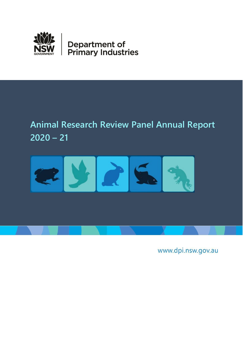

# <span id="page-0-0"></span>**Animal Research Review Panel Annual Report 2020 – 21**



www.dpi.nsw.gov.au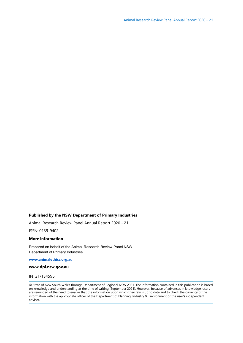## **Published by the NSW Department of Primary Industries**

Animal Research Review Panel Annual Report 2020 - 21

ISSN: 0139-9402

#### **More information**

Prepared on behalf of the Animal Research Review Panel NSW Department of Primary Industries

**[www.animalethics.org.au](http://www.animalethics.org.au/)**

#### **[www.dpi.nsw.gov.au](http://www.dpi.nsw.gov.au/)**

#### INT21/134596

© State of New South Wales through Department of Regional NSW 2021. The information contained in this publication is based on knowledge and understanding at the time of writing (September 2021). However, because of advances in knowledge, users are reminded of the need to ensure that the information upon which they rely is up to date and to check the currency of the information with the appropriate officer of the Department of Planning, Industry & Environment or the user's independent adviser.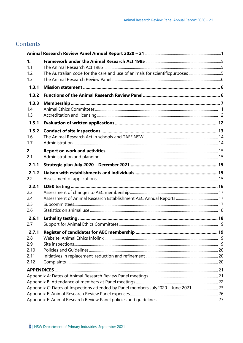# Contents

| 1.           |                                                                                    |  |
|--------------|------------------------------------------------------------------------------------|--|
| 1.1          |                                                                                    |  |
| 1.2          | The Australian code for the care and use of animals for scientificpurposes5        |  |
| 1.3          |                                                                                    |  |
| 1.3.1        |                                                                                    |  |
| 1.3.2        |                                                                                    |  |
| 1.3.3        |                                                                                    |  |
| 1.4          |                                                                                    |  |
| 1.5          |                                                                                    |  |
| 1.5.1        |                                                                                    |  |
| 1.5.2        |                                                                                    |  |
| 1.6          |                                                                                    |  |
| 1.7          |                                                                                    |  |
| 2.           |                                                                                    |  |
| 2.1          |                                                                                    |  |
| 2.1.1        |                                                                                    |  |
| 2.1.2        |                                                                                    |  |
| 2.2          |                                                                                    |  |
| 2.2.1        |                                                                                    |  |
| 2.3          |                                                                                    |  |
| 2.4          |                                                                                    |  |
| 2.5<br>2.6   |                                                                                    |  |
|              |                                                                                    |  |
| 2.6.1<br>2.7 |                                                                                    |  |
|              |                                                                                    |  |
| 2.7.1<br>2.8 |                                                                                    |  |
| 2.9          |                                                                                    |  |
| 2.10         |                                                                                    |  |
| 2.11         |                                                                                    |  |
| 2.12         |                                                                                    |  |
|              |                                                                                    |  |
|              |                                                                                    |  |
|              |                                                                                    |  |
|              | Appendix C: Dates of Inspections attended by Panel members July2020 - June 2021 23 |  |
|              |                                                                                    |  |
|              |                                                                                    |  |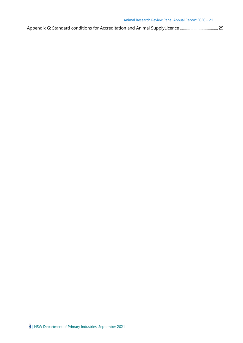|--|--|--|--|--|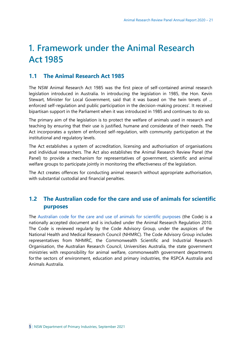# <span id="page-4-0"></span>**1. Framework under the Animal Research Act 1985**

# <span id="page-4-1"></span>**1.1 The Animal Research Act 1985**

The NSW Animal Research Act 1985 was the first piece of self-contained animal research legislation introduced in Australia. In introducing the legislation in 1985, the Hon. Kevin Stewart, Minister for Local Government, said that it was based on 'the twin tenets of … enforced self-regulation and public participation in the decision-making process'. It received bipartisan support in the Parliament when it was introduced in 1985 and continues to do so.

The primary aim of the legislation is to protect the welfare of animals used in research and teaching by ensuring that their use is justified, humane and considerate of their needs. The Act incorporates a system of enforced self-regulation, with community participation at the institutional and regulatory levels.

The Act establishes a system of accreditation, licensing and authorisation of organisations and individual researchers. The Act also establishes the Animal Research Review Panel (the Panel) to provide a mechanism for representatives of government, scientific and animal welfare groups to participate jointly in monitoring the effectiveness of the legislation.

The Act creates offences for conducting animal research without appropriate authorisation, with substantial custodial and financial penalties.

# <span id="page-4-2"></span>**1.2 The Australian code for the care and use of animals for scientific purposes**

The [Australian code for the care and use of animals for scientific purposes \(](http://www.nhmrc.gov.au/guidelines-publications/ea28)the Code) is a nationally accepted document and is included under the Animal Research Regulation 2010. The Code is reviewed regularly by the Code Advisory Group, under the auspices of the National Health and Medical Research Council (NHMRC). The Code Advisory Group includes representatives from NHMRC, the Commonwealth Scientific and Industrial Research Organisation, the Australian Research Council, Universities Australia, the state government ministries with responsibility for animal welfare, commonwealth government departments forthe sectors of environment, education and primary industries, the RSPCA Australia and Animals Australia.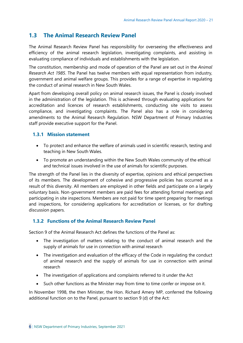# <span id="page-5-0"></span>**1.3 The Animal Research Review Panel**

The Animal Research Review Panel has responsibility for overseeing the effectiveness and efficiency of the animal research legislation, investigating complaints, and assisting in evaluating compliance of individuals and establishments with the legislation.

The constitution, membership and mode of operation of the Panel are set out in the *Animal Research Act 1985*. The Panel has twelve members with equal representation from industry, government and animal welfare groups. This provides for a range of expertise in regulating the conduct of animal research in New South Wales.

Apart from developing overall policy on animal research issues, the Panel is closely involved in the administration of the legislation. This is achieved through evaluating applications for accreditation and licences of research establishments, conducting site visits to assess compliance, and investigating complaints. The Panel also has a role in considering amendments to the Animal Research Regulation. NSW Department of Primary Industries staff provide executive support for the Panel.

## <span id="page-5-1"></span>**1.3.1 Mission statement**

- To protect and enhance the welfare of animals used in scientific research, testing and teaching in New South Wales.
- To promote an understanding within the New South Wales community of the ethical and technical issues involved in the use of animals for scientific purposes.

The strength of the Panel lies in the diversity of expertise, opinions and ethical perspectives of its members. The development of cohesive and progressive policies has occurred as a result of this diversity. All members are employed in other fields and participate on a largely voluntary basis. Non-government members are paid fees for attending formal meetings and participating in site inspections. Members are not paid for time spent preparing for meetings and inspections, for considering applications for accreditation or licenses, or for drafting discussion papers.

## <span id="page-5-2"></span>**1.3.2 Functions of the Animal Research Review Panel**

Section 9 of the Animal Research Act defines the functions of the Panel as:

- The investigation of matters relating to the conduct of animal research and the supply of animals for use in connection with animal research
- The investigation and evaluation of the efficacy of the Code in regulating the conduct of animal research and the supply of animals for use in connection with animal research
- The investigation of applications and complaints referred to it under the Act
- Such other functions as the Minister may from time to time confer or impose on it.

In November 1998, the then Minister, the Hon. Richard Amery MP, conferred the following additional function on to the Panel, pursuant to section 9 (d) of the Act: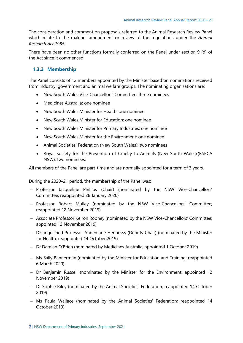The consideration and comment on proposals referred to the Animal Research Review Panel which relate to the making, amendment or review of the regulations under the *Animal Research Act 1985.*

<span id="page-6-0"></span>There have been no other functions formally conferred on the Panel under section 9 (d) of the Act since it commenced.

## **1.3.3 Membership**

The Panel consists of 12 members appointed by the Minister based on nominations received from industry, government and animal welfare groups. The nominating organisations are:

- New South Wales Vice-Chancellors' Committee: three nominees
- Medicines Australia: one nominee
- New South Wales Minister for Health: one nominee
- New South Wales Minister for Education: one nominee
- New South Wales Minister for Primary Industries: one nominee
- New South Wales Minister for the Environment: one nominee
- Animal Societies' Federation (New South Wales): two nominees
- Royal Society for the Prevention of Cruelty to Animals (New South Wales) (RSPCA NSW): two nominees.

All members of the Panel are part-time and are normally appointed for a term of 3 years.

During the 2020–21 period, the membership of the Panel was:

- − Professor Jacqueline Phillips (Chair) (nominated by the NSW Vice-Chancellors' Committee; reappointed 28 January 2020)
- − Professor Robert Mulley (nominated by the NSW Vice-Chancellors' Committee; reappointed 12 November 2019)
- − Associate Professor Keiron Rooney (nominated by the NSW Vice-Chancellors' Committee; appointed 12 November 2019)
- − Distinguished Professor Annemarie Hennessy (Deputy Chair) (nominated by the Minister for Health; reappointed 14 October 2019)
- − Dr Damian O'Brien (nominated by Medicines Australia; appointed 1 October 2019)
- − Ms Sally Bannerman (nominated by the Minister for Education and Training; reappointed 6 March 2020)
- − Dr Benjamin Russell (nominated by the Minister for the Environment; appointed 12 November 2019)
- − Dr Sophie Riley (nominated by the Animal Societies' Federation; reappointed 14 October 2019)
- − Ms Paula Wallace (nominated by the Animal Societies' Federation; reappointed 14 October 2019)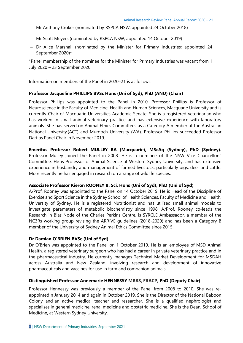- − Mr Anthony Croker (nominated by RSPCA NSW; appointed 24 October 2018)
- − Mr Scott Meyers (nominated by RSPCA NSW; appointed 14 October 2019)
- − Dr Alice Marshall (nominated by the Minister for Primary Industries; appointed 24 September 2020)\*

\*Panel membership of the nominee for the Minister for Primary Industries was vacant from 1 July 2020 – 23 September 2020.

Information on members of the Panel in 2020–21 is as follows:

## **Professor Jacqueline PHILLIPS BVSc Hons (Uni of Syd), PhD (ANU) (Chair)**

Professor Phillips was appointed to the Panel in 2010. Professor Phillips is Professor of Neuroscience in the Faculty of Medicine, Health and Human Sciences, Macquarie University and is currently Chair of Macquarie Universities Academic Senate. She is a registered veterinarian who has worked in small animal veterinary practice and has extensive experience with laboratory animals. She has served on Animal Ethics Committees as a Category A member at the Australian National University (ACT) and Murdoch University (WA). Professor Phillips succeeded Professor Dart as Panel Chair in November 2019.

**Emeritus Professor Robert MULLEY BA (Macquarie), MScAg (Sydney), PhD (Sydney).** Professor Mulley joined the Panel in 2008. He is a nominee of the NSW Vice Chancellors' Committee. He is Professor of Animal Science at Western Sydney University, and has extensive experience in husbandry and management of farmed livestock, particularly pigs, deer and cattle. More recently he has engaged in research on a range of wildlife species.

## **Associate Professor Kieron ROONEY B. Sci. Hons (Uni of Syd), PhD (Uni of Syd)**

A/Prof. Rooney was appointed to the Panel on 14 October 2019. He is Head of the Discipline of Exercise and Sport Science in the Sydney School of Health Sciences, Faculty of Medicine and Health, University of Sydney. He is a registered Nutritionist and has utilised small animal models to investigate parameters of metabolic biochemistry since 1998. A/Prof. Rooney co-leads the Research in Bias Node of the Charles Perkins Centre, is SYRCLE Ambassador, a member of the NC3Rs working group revising the ARRIVE guidelines (2018-2020) and has been a Category B member of the University of Sydney Animal Ethics Committee since 2015.

## **Dr Damian O'BRIEN BVSc (Uni of Syd)**

Dr O'Brien was appointed to the Panel on 1 October 2019. He is an employee of MSD Animal Health, a registered veterinary surgeon who has had a career in private veterinary practice and in the pharmaceutical industry. He currently manages Technical Market Development for MSDAH across Australia and New Zealand, involving research and development of innovative pharmaceuticals and vaccines for use in farm and companion animals.

## **Distinguished Professor Annemarie HENNESSY MBBS, FRACP, PhD (Deputy Chair)**

Professor Hennessy was previously a member of the Panel from 2008 to 2010. She was reappointedin January 2014 and again in October 2019. She is the Director of the National Baboon Colony and an active medical teacher and researcher. She is a qualified nephrologist and specialises in general medicine, renal medicine and obstetric medicine. She is the Dean, School of Medicine, at Western Sydney University.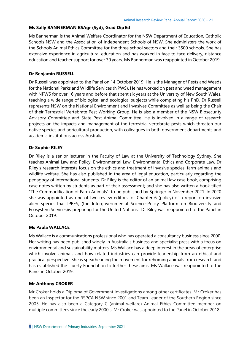#### **Ms Sally BANNERMAN BSAgr (Syd), Grad Dip Ed**

Ms Bannerman is the Animal Welfare Coordinator for the NSW Department of Education, Catholic Schools NSW and the Association of Independent Schools of NSW. She administers the work of the Schools Animal Ethics Committee for the three school sectors and their 3500 schools. She has extensive experience in agricultural education and has worked in face to face delivery, distance education and teacher support for over 30 years. Ms Bannerman was reappointed in October 2019.

#### **Dr Benjamin RUSSELL**

Dr Russell was appointed to the Panel on 14 October 2019. He is the Manager of Pests and Weeds for the National Parks and Wildlife Services (NPWS). He has worked on pest and weed management with NPWS for over 16 years and before that spent six years at the University of New South Wales, teaching a wide range of biological and ecological subjects while completing his PhD. Dr Russell represents NSW on the National Environment and Invasives Committee as well as being the Chair of their Terrestrial Vertebrate Pest Working Group. He is also a member of the NSW Biosecurity Advisory Committee and State Pest Animal Committee. He is involved in a range of research projects on the impacts and management of the terrestrial vertebrate pests which threaten our native species and agricultural production, with colleagues in both government departments and academic institutions across Australia.

#### **Dr Sophie RILEY**

Dr Riley is a senior lecturer in the Faculty of Law at the University of Technology Sydney. She teaches Animal Law and Policy, Environmental Law, Environmental Ethics and Corporate Law. Dr Riley's research interests focus on the ethics and treatment of invasive species, farm animals and wildlife welfare. She has also published in the area of legal education, particularly regarding the pedagogy of international students. Dr Riley is the editor of an animal law case book, comprising case notes written by students as part of their assessment; and she has also written a book titled "The Commodification of Farm Animals", to be published by Springer in November 2021. In 2020 she was appointed as one of two review editors for Chapter 6 (policy) of a report on invasive alien species that IPBES, (the Intergovernmental Science-Policy Platform on Biodiversity and Ecosystem Services)is preparing for the United Nations. Dr Riley was reappointed to the Panel in October 2019.

#### **Ms Paula WALLACE**

Ms Wallace is a communications professional who has operated a consultancy business since 2000. Her writing has been published widely in Australia's business and specialist press with a focus on environmental and sustainability matters. Ms Wallace has a deep interest in the areas of enterprise which involve animals and how related industries can provide leadership from an ethical and practical perspective. She is spearheading the movement for rehoming animals from research and has established the Liberty Foundation to further these aims. Ms Wallace was reappointed to the Panel in October 2019.

#### **Mr Anthony CROKER**

Mr Croker holds a Diploma of Government Investigations among other certificates. Mr Croker has been an Inspector for the RSPCA NSW since 2001 and Team Leader of the Southern Region since 2005. He has also been a Category C (animal welfare) Animal Ethics Committee member on multiple committees since the early 2000's. Mr Croker was appointed to the Panel in October 2018.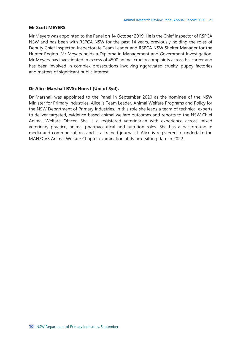#### **Mr Scott MEYERS**

Mr Meyers was appointed to the Panel on 14 October 2019. He is the Chief Inspector of RSPCA NSW and has been with RSPCA NSW for the past 14 years, previously holding the roles of Deputy Chief Inspector, Inspectorate Team Leader and RSPCA NSW Shelter Manager for the Hunter Region. Mr Meyers holds a Diploma in Management and Government Investigation. Mr Meyers has investigated in excess of 4500 animal cruelty complaints across his career and has been involved in complex prosecutions involving aggravated cruelty, puppy factories and matters of significant public interest.

## **Dr Alice Marshall BVSc Hons I (Uni of Syd).**

Dr Marshall was appointed to the Panel in September 2020 as the nominee of the NSW Minister for Primary Industries. Alice is Team Leader, Animal Welfare Programs and Policy for the NSW Department of Primary Industries. In this role she leads a team of technical experts to deliver targeted, evidence-based animal welfare outcomes and reports to the NSW Chief Animal Welfare Officer. She is a registered veterinarian with experience across mixed veterinary practice, animal pharmaceutical and nutrition roles. She has a background in media and communications and is a trained journalist. Alice is registered to undertake the MANZCVS Animal Welfare Chapter examination at its next sitting date in 2022.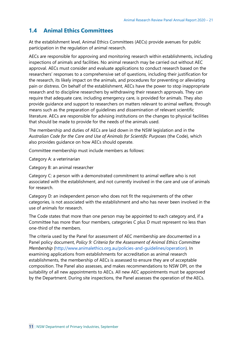# <span id="page-10-0"></span>**1.4 Animal Ethics Committees**

At the establishment level, Animal Ethics Committees (AECs) provide avenues for public participation in the regulation of animal research.

AECs are responsible for approving and monitoring research within establishments, including inspections of animals and facilities. No animal research may be carried out without AEC approval. AECs must consider and evaluate applications to conduct research based on the researchers' responses to a comprehensive set of questions, including their justification for the research, its likely impact on the animals, and procedures for preventing or alleviating pain or distress. On behalf of the establishment, AECs have the power to stop inappropriate research and to discipline researchers by withdrawing their research approvals. They can require that adequate care, including emergency care, is provided for animals. They also provide guidance and support to researchers on matters relevant to animal welfare, through means such as the preparation of guidelines and dissemination of relevant scientific literature. AECs are responsible for advising institutions on the changes to physical facilities that should be made to provide for the needs of the animals used.

The membership and duties of AECs are laid down in the NSW legislation and in the *Australian Code for the Care and Use of Animals for Scientific Purposes* (the Code), which also provides guidance on how AECs should operate.

Committee membership must include members as follows:

Category A: a veterinarian

Category B: an animal researcher

Category C: a person with a demonstrated commitment to animal welfare who is not associated with the establishment, and not currently involved in the care and use of animals for research.

Category D: an independent person who does not fit the requirements of the other categories, is not associated with the establishment and who has never been involved in the use of animals for research.

The Code states that more than one person may be appointed to each category and, if a Committee has more than four members, categories C plus D must represent no less than one-third of the members.

The criteria used by the Panel for assessment of AEC membership are documented in a Panel policy document, *Policy 9: Criteria for the Assessment of Animal Ethics Committee Membership* [\(http://www.animalethics.org.au/policies-and-guidelines/operation\)](http://www.animalethics.org.au/policies-and-guidelines/operation). In examining applications from establishments for accreditation as animal research establishments, the membership of AECs is assessed to ensure they are of acceptable composition. The Panel also assesses, and makes recommendations to NSW DPI, on the suitability of all new appointments to AECs. All new AEC appointments must be approved by the Department. During site inspections, the Panel assesses the operation of the AECs.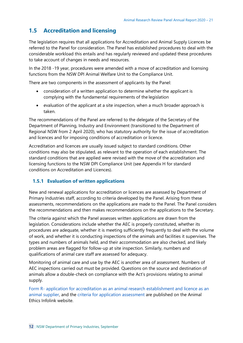# <span id="page-11-0"></span>**1.5 Accreditation and licensing**

The legislation requires that all applications for Accreditation and Animal Supply Licences be referred to the Panel for consideration. The Panel has established procedures to deal with the considerable workload this entails and has regularly reviewed and updated these procedures to take account of changes in needs and resources.

In the 2018 -19 year, procedures were amended with a move of accreditation and licensing functions from the NSW DPI Animal Welfare Unit to the Compliance Unit.

There are two components in the assessment of applicants by the Panel:

- consideration of a written application to determine whether the applicant is complying with the fundamental requirements of the legislation
- evaluation of the applicant at a site inspection, when a much broader approach is taken.

The recommendations of the Panel are referred to the delegate of the Secretary of the Department of Planning, Industry and Environment (transitioned to the Department of Regional NSW from 2 April 2020), who has statutory authority for the issue of accreditation and licences and for imposing conditions of accreditation or licence.

Accreditation and licences are usually issued subject to standard conditions. Other conditions may also be stipulated, as relevant to the operation of each establishment. The standard conditions that are applied were revised with the move of the accreditation and licensing functions to the NSW DPI Compliance Unit (see Appendix H for standard conditions on Accreditation and Licences).

## <span id="page-11-1"></span>**1.5.1 Evaluation of written applications**

New and renewal applications for accreditation or licences are assessed by Department of Primary Industries staff, according to criteria developed by the Panel. Arising from these assessments, recommendations on the applications are made to the Panel. The Panel considers the recommendations and then makes recommendations on the applications to the Secretary.

The criteria against which the Panel assesses written applications are drawn from the legislation. Considerations include whether the AEC is properly constituted, whether its procedures are adequate, whether it is meeting sufficiently frequently to deal with the volume of work, and whether it is conducting inspections of the animals and facilities it supervises. The types and numbers of animals held, and their accommodation are also checked, and likely problem areas are flagged for follow-up at site inspection. Similarly, numbers and qualifications of animal care staff are assessed for adequacy.

Monitoring of animal care and use by the AEC is another area of assessment. Numbers of AEC inspections carried out must be provided. Questions on the source and destination of animals allow a double-check on compliance with the Act's provisions relating to animal supply.

Form R- [application for accreditation as an animal research establishment and licence as an](https://www.animalethics.org.au/forms) [animal supplier, a](https://www.animalethics.org.au/forms)nd the [criteria for application assessment a](https://www.animalethics.org.au/accreditation-and-licensing)re published on the Animal Ethics Infolink website.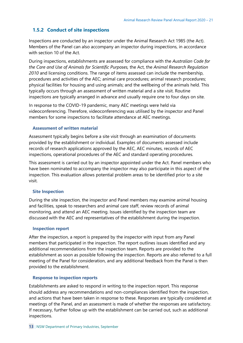## <span id="page-12-0"></span>**1.5.2 Conduct of site inspections**

Inspections are conducted by an inspector under the Animal Research Act 1985 (the Act). Members of the Panel can also accompany an inspector during inspections, in accordance with section 10 of the Act.

During inspections, establishments are assessed for compliance with the *Australian Code for the Care and Use of Animals for Scientific Purposes,* the Act, the *Animal Research Regulation 2010* and licensing conditions. The range of items assessed can include the membership, procedures and activities of the AEC; animal care procedures; animal research procedures; physical facilities for housing and using animals; and the wellbeing of the animals held. This typically occurs through an assessment of written material and a site visit. Routine inspections are typically arranged in advance and usually require one to four days on site.

In response to the COVID-19 pandemic, many AEC meetings were held via videoconferencing. Therefore, videoconferencing was utilised by the inspector and Panel members for some inspections to facilitate attendance at AEC meetings.

## **Assessment of written material**

Assessment typically begins before a site visit through an examination of documents provided by the establishment or individual. Examples of documents assessed include records of research applications approved by the AEC, AEC minutes, records of AEC inspections, operational procedures of the AEC and standard operating procedures.

This assessment is carried out by an inspector appointed under the Act. Panel members who have been nominated to accompany the inspector may also participate in this aspect of the inspection. This evaluation allows potential problem areas to be identified prior to a site visit.

## **Site Inspection**

During the site inspection, the inspector and Panel members may examine animal housing and facilities, speak to researchers and animal care staff, review records of animal monitoring, and attend an AEC meeting. Issues identified by the inspection team are discussed with the AEC and representatives of the establishment during the inspection.

## **Inspection report**

After the inspection, a report is prepared by the inspector with input from any Panel members that participated in the inspection. The report outlines issues identified and any additional recommendations from the inspection team. Reports are provided to the establishment as soon as possible following the inspection. Reports are also referred to a full meeting of the Panel for consideration, and any additional feedback from the Panel is then provided to the establishment.

## **Response to inspection reports**

Establishments are asked to respond in writing to the inspection report. This response should address any recommendations and non-compliances identified from the inspection, and actions that have been taken in response to these. Responses are typically considered at meetings of the Panel, and an assessment is made of whether the responses are satisfactory. If necessary, further follow up with the establishment can be carried out, such as additional inspections.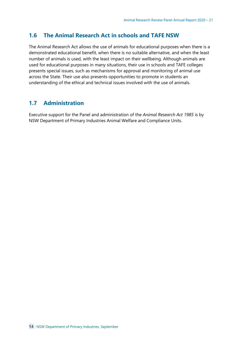## <span id="page-13-0"></span>**1.6 The Animal Research Act in schools and TAFE NSW**

The Animal Research Act allows the use of animals for educational purposes when there is a demonstrated educational benefit, when there is no suitable alternative, and when the least number of animals is used, with the least impact on their wellbeing. Although animals are used for educational purposes in many situations, their use in schools and TAFE colleges presents special issues, such as mechanisms for approval and monitoring of animal use across the State. Their use also presents opportunities to promote in students an understanding of the ethical and technical issues involved with the use of animals.

## <span id="page-13-1"></span>**1.7 Administration**

Executive support for the Panel and administration of the *Animal Research Act 1985* is by NSW Department of Primary Industries Animal Welfare and Compliance Units.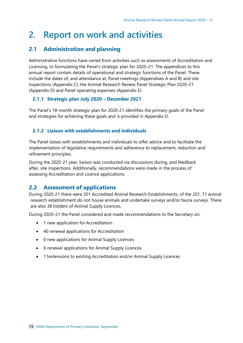# <span id="page-14-0"></span>**2. Report on work and activities**

# <span id="page-14-1"></span>**2.1 Administration and planning**

Administrative functions have varied from activities such as assessments of Accreditation and Licensing, to formulating the Panel's strategic plan for 2020–21. The appendices to this annual report contain details of operational and strategic functions of the Panel. These include the dates of, and attendance at, Panel meetings (Appendixes A and B) and site inspections (Appendix C); the Animal Research Review Panel Strategic Plan 2020–21 (Appendix D) and Panel operating expenses (Appendix E).

## <span id="page-14-2"></span>**2.1.1 Strategic plan July 2020 – December 2021**

The Panel's 18-month strategic plan for 2020-21 identifies the primary goals of the Panel and strategies for achieving these goals and is provided in Appendix D.

## <span id="page-14-3"></span>**2.1.2 Liaison with establishments and individuals**

The Panel liaises with establishments and individuals to offer advice and to facilitate the implementation of legislative requirements and adherence to replacement, reduction and refinement principles.

During the 2020-21 year, liaison was conducted via discussions during, and feedback after, site inspections. Additionally, recommendations were made in the process of assessing Accreditation and Licence applications.

## <span id="page-14-4"></span>**2.2 Assessment of applications**

During 2020-21 there were 201 Accredited Animal Research Establishments, of the 201, 71 animal research establishment do not house animals and undertake surveys and/or fauna surveys. There are also 38 holders of Animal Supply Licences.

During 2020–21 the Panel considered and made recommendations to the Secretary on:

- 1 new application for Accreditation
- 40 renewal applications for Accreditation
- 0 new applications for Animal Supply Licences
- 6 renewal applications for Animal Supply Licences.
- 11extensions to existing Accreditation and/or Animal Supply Licences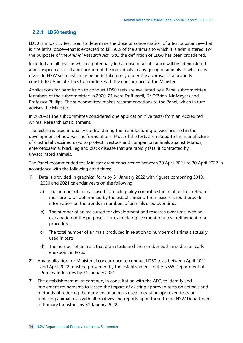## <span id="page-15-0"></span>**2.2.1 LD50 testing**

LD50 is a toxicity test used to determine the dose or concentration of a test substance—that is, the lethal dose—that is expected to kill 50% of the animals to which it is administered. For the purposes of the *Animal Research Act 1985* the definition of LD50 has been broadened.

Included are all tests in which a potentially lethal dose of a substance will be administered and is expected to kill a proportion of the individuals in any group of animals to which it is given. In NSW such tests may be undertaken only under the approval of a properly constituted Animal Ethics Committee, with the concurrence of the Minister.

Applications for permission to conduct LD50 tests are evaluated by a Panel subcommittee. Members of the subcommittee in 2020–21 were Dr Russell, Dr O'Brien, Mr Meyers and Professor Phillips. The subcommittee makes recommendations to the Panel, which in turn advises the Minister.

In 2020–21 the subcommittee considered one application (five tests) from an Accredited Animal Research Establishment.

The testing is used in quality control during the manufacturing of vaccines and in the development of new vaccine formulations. Most of the tests are related to the manufacture of clostridial vaccines, used to protect livestock and companion animals against tetanus, enterotoxaemia, black leg and black disease that are rapidly fatal if contracted by unvaccinated animals.

The Panel recommended the Minister grant concurrence between 30 April 2021 to 30 April 2022 in accordance with the following conditions:

- 1) Data is provided in graphical form by 31 January 2022 with figures comparing 2019, 2020 and 2021 calendar years on the following:
	- a) The number of animals used for each quality control test in relation to a relevant measure to be determined by the establishment. The measure should provide information on the trends in numbers of animals used over time.
	- b) The number of animals used for development and research over time, with an explanation of the purpose – for example replacement of a test, refinement of a procedure.
	- c) The total number of animals produced in relation to numbers of animals actually used in tests.
	- d) The number of animals that die in tests and the number euthanised as an early end-point in tests.
- 2) Any application for Ministerial concurrence to conduct LD50 tests between April 2021 and April 2022 must be presented by the establishment to the NSW Department of Primary Industries by 31 January 2021.
- 3) The establishment must continue, in consultation with the AEC, to identify and implement refinements to lessen the impact of existing approved tests on animals and methods of reducing the numbers of animals used in existing approved tests or replacing animal tests with alternatives and reports upon these to the NSW Department of Primary Industries by 31 January 2022.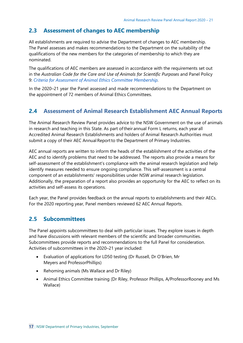# <span id="page-16-0"></span>**2.3 Assessment of changes to AEC membership**

All establishments are required to advise the Department of changes to AEC membership. The Panel assesses and makes recommendations to the Department on the suitability of the qualifications of the new members for the categories of membership to which they are nominated.

The qualifications of AEC members are assessed in accordance with the requirements set out in the Australian Code for the Care and Use of Animals for Scientific Purposes and Panel Policy 9: *[Criteria for Assessment](https://www.animalethics.org.au/policies-and-guidelines/operation/criteria-for-assessment) of Animal Ethics Committee Membership.*

In the 2020–21 year the Panel assessed and made recommendations to the Department on the appointment of 72 members of Animal Ethics Committees.

# <span id="page-16-1"></span>**2.4 Assessment of Animal Research Establishment AEC Annual Reports**

The Animal Research Review Panel provides advice to the NSW Government on the use of animals in research and teaching in this State. As part of their annual Form L returns, each year all Accredited Animal Research Establishments and holders of Animal Research Authorities must submit a copy of their AEC Annual Report to the Department of Primary Industries.

AEC annual reports are written to inform the heads of the establishment of the activities of the AEC and to identify problems that need to be addressed. The reports also provide a means for self-assessment of the establishment's compliance with the animal research legislation and help identify measures needed to ensure ongoing compliance. This self-assessment is a central component of an establishments' responsibilities under NSW animal research legislation. Additionally, the preparation of a report also provides an opportunity for the AEC to reflect on its activities and self-assess its operations.

Each year, the Panel provides feedback on the annual reports to establishments and their AECs. For the 2020 reporting year, Panel members reviewed 62 AEC Annual Reports.

## <span id="page-16-2"></span>**2.5 Subcommittees**

The Panel appoints subcommittees to deal with particular issues. They explore issues in depth and have discussions with relevant members of the scientific and broader communities. Subcommittees provide reports and recommendations to the full Panel for consideration. Activities of subcommittees in the 2020–21 year included:

- Evaluation of applications for LD50 testing (Dr Russell, Dr O'Brien, Mr Meyers and ProfessorPhillips)
- Rehoming animals (Ms Wallace and Dr Riley)
- Animal Ethics Committee training (Dr Riley, Professor Phillips, A/ProfessorRooney and Ms Wallace)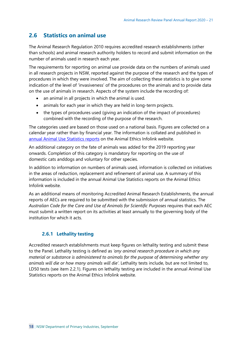# <span id="page-17-0"></span>**2.6 Statistics on animal use**

The Animal Research Regulation 2010 requires accredited research establishments (other than schools) and animal research authority holders to record and submit information on the number of animals used in research each year.

The requirements for reporting on animal use provide data on the numbers of animals used in all research projects in NSW, reported against the purpose of the research and the types of procedures in which they were involved. The aim of collecting these statistics is to give some indication of the level of 'invasiveness' of the procedures on the animals and to provide data on the use of animals in research. Aspects of the system include the recording of:

- an animal in all projects in which the animal is used.
- animals for each year in which they are held in long-term projects.
- the types of procedures used (giving an indication of the impact of procedures) combined with the recording of the purpose of the research.

The categories used are based on those used on a national basis. Figures are collected on a calendar year rather than by financial year. The information is collated and published in annual Animal Use [Statistics reports](https://www.animalethics.org.au/animal-use-statistics) on the Animal Ethics Infolink website.

An additional category on the fate of animals was added for the 2019 reporting year onwards. Completion of this category is mandatory for reporting on the use of domestic cats anddogs and voluntary for other species.

In addition to information on numbers of animals used, information is collected on initiatives in the areas of reduction, replacement and refinement of animal use. A summary of this information is included in the annual Animal Use Statistics reports on the Animal Ethics Infolink website.

As an additional means of monitoring Accredited Animal Research Establishments, the annual reports of AECs are required to be submitted with the submission of annual statistics. The *Australian Code for the Care and Use of Animals for Scientific Purposes* requires that each AEC must submit a written report on its activities at least annually to the governing body of the institution for which it acts.

## **2.6.1 Lethality testing**

<span id="page-17-1"></span>Accredited research establishments must keep figures on lethality testing and submit these to the Panel. Lethality testing is defined as *'any animal research procedure in which any material or substance is administered to animals for the purpose of determining whether any animals will die or how many animals will die'*. Lethality tests include, but are not limited to, LD50 tests (see item 2.2.1). Figures on lethality testing are included in the annual Animal Use Statistics reports on the Animal Ethics Infolink website.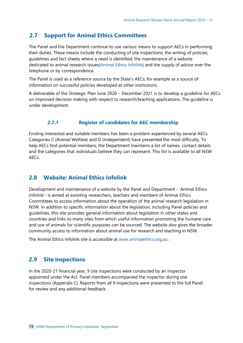## <span id="page-18-0"></span>**2.7 Support for Animal Ethics Committees**

The Panel and the Department continue to use various means to support AECs in performing their duties. These means include the conducting of site inspections; the writing of policies, guidelines and fact sheets where a need is identified; the maintenance of a website dedicated to animal research issues(Animal Ethics [Infolink\)](http://www.animalethics.org.au/) and the supply of advice over the telephone or by correspondence.

The Panel is used as a reference source by the State's AECs, for example as a source of information on successful policies developed at other institutions.

A deliverable of the Strategic Plan June 2020 – December 2021 is to develop a guideline for AECs on improved decision making with respect to research/teaching applications. The guideline is under development.

## **2.7.1 Register of candidates for AEC membership**

<span id="page-18-1"></span>Finding interested and suitable members has been a problem experienced by several AECs. Categories C (Animal Welfare) and D (Independent) have presented the most difficulty. To help AECs find potential members, the Department maintains a list of names, contact details and the categories that individuals believe they can represent. This list is available to all NSW AECs.

## <span id="page-18-2"></span>**2.8 Website: Animal Ethics Infolink**

Development and maintenance of a website by the Panel and Department - 'Animal Ethics Infolink'- is aimed at assisting researchers, teachers and members of Animal Ethics Committees to access information about the operation of the animal research legislation in NSW. In addition to specific information about the legislation, including Panel policies and guidelines, this site provides general information about legislation in other states and countries and links to many sites from which useful information promoting the humane care and use of animals for scientific purposes can be sourced. The website also gives the broader community access to information about animal use for research and teaching in NSW.

The Animal Ethics Infolink site is accessible at [www.animalethics.org.au .](http://www.animalethics.org.au/)

## <span id="page-18-3"></span>**2.9 Site inspections**

In the 2020-21 financial year, 9 site inspections were conducted by an inspector appointed under the Act. Panel members accompanied the inspector during site inspections (Appendix C). Reports from all 9 inspections were presented to the full Panel for review and any additional feedback.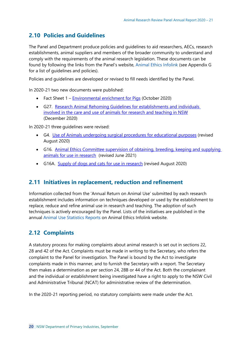# <span id="page-19-0"></span>**2.10 Policies and Guidelines**

The Panel and Department produce policies and guidelines to aid researchers, AECs, research establishments, animal suppliers and members of the broader community to understand and comply with the requirements of the animal research legislation. These documents can be found by following the links from the Panel's website, [Animal Ethics Infolink \(](http://www.animalethics.org.au/)see Appendix G for a list of guidelines and policies).

Policies and guidelines are developed or revised to fill needs identified by the Panel.

In 2020-21 two new documents were published:

- Fact Sheet 1 [Environmental enrichment for Pigs](https://www.animalethics.org.au/__data/assets/pdf_file/0003/1269516/arrp-factsheet-1-environmental-enrichment-for-pigs.pdf) (October 2020)
- G27. [Research Animal Rehoming Guidelines for establishments and individuals](https://www.animalethics.org.au/__data/assets/pdf_file/0005/1275251/Research-Animal-Rehoming-Guidelines.pdf)  [involved in the care and use of animals for research and teaching in NSW](https://www.animalethics.org.au/__data/assets/pdf_file/0005/1275251/Research-Animal-Rehoming-Guidelines.pdf) (December 2020)

In 2020-21 three guidelines were revised:

- G4. [Use of Animals undergoing surgical procedures for educational purposes](https://www.animalethics.org.au/__data/assets/pdf_file/0009/1253574/arrp-guideline-4-use-of-animals-undergoing-surgical-procedures-for-educational-purposes.pdf) (revised August 2020)
- G16. Animal Ethics Committee supervision of obtaining, breeding, keeping and supplying [animals for use in research](https://www.animalethics.org.au/__data/assets/pdf_file/0003/1320267/Draft-ARRP-Gl16-AEC-supervision-of-obtaining,-breeding-keeping-and-supplying-animals.pdf) (revised June 2021)
- G16A. [Supply of dogs and cats for use in research](https://www.animalethics.org.au/__data/assets/pdf_file/0005/1253570/arrp-guideline-16a-supply-of-dogs-and-cats-for-use-in-research.pdf) (revised August 2020)

# <span id="page-19-1"></span>**2.11 Initiatives in replacement, reduction and refinement**

Information collected from the 'Annual Return on Animal Use' submitted by each research establishment includes information on techniques developed or used by the establishment to replace, reduce and refine animal use in research and teaching. The adoption of such techniques is actively encouraged by the Panel. Lists of the initiatives are published in the annual Animal Use Statistics [Reports o](https://www.animalethics.org.au/animal-use-statistics)n Animal Ethics Infolink website.

## <span id="page-19-2"></span>**2.12 Complaints**

A statutory process for making complaints about animal research is set out in sections 22, 28 and 42 of the Act. Complaints must be made in writing to the Secretary, who refers the complaint to the Panel for investigation. The Panel is bound by the Act to investigate complaints made in this manner, and to furnish the Secretary with a report. The Secretary then makes a determination as per section 24, 28B or 44 of the Act. Both the complainant and the individual or establishment being investigated have a right to apply to the NSW Civil and Administrative Tribunal (NCAT) for administrative review of the determination.

In the 2020-21 reporting period, no statutory complaints were made under the Act.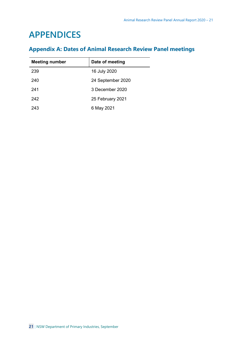# <span id="page-20-0"></span>**APPENDICES**

# <span id="page-20-1"></span>**Appendix A: Dates of Animal Research Review Panel meetings**

| <b>Meeting number</b> | Date of meeting   |
|-----------------------|-------------------|
| 239                   | 16 July 2020      |
| 240                   | 24 September 2020 |
| 241                   | 3 December 2020   |
| 242                   | 25 February 2021  |
| 243                   | 6 May 2021        |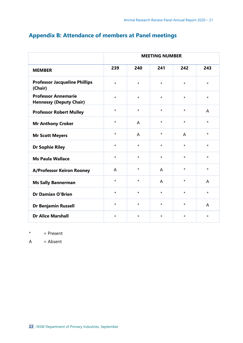|                                                              | <b>MEETING NUMBER</b> |                |          |         |          |
|--------------------------------------------------------------|-----------------------|----------------|----------|---------|----------|
| <b>MEMBER</b>                                                | 239                   | 240            | 241      | 242     | 243      |
| <b>Professor Jacqueline Phillips</b><br>(Chair)              | $\star$               | $\star$        | $\star$  | $\star$ | $\star$  |
| <b>Professor Annemarie</b><br><b>Hennessy (Deputy Chair)</b> | $\star$               | $\star$        | $\star$  | $\star$ | $^\star$ |
| <b>Professor Robert Mulley</b>                               | $\star$               | $\star$        | $\star$  | $\star$ | A        |
| <b>Mr Anthony Croker</b>                                     | $\star$               | $\overline{A}$ | $\star$  | $\star$ | $\star$  |
| <b>Mr Scott Meyers</b>                                       | $\star$               | A              | $\star$  | A       | $^\star$ |
| <b>Dr Sophie Riley</b>                                       | $\star$               | $\star$        | $\star$  | $\star$ | $\star$  |
| <b>Ms Paula Wallace</b>                                      | $^\star$              | $\star$        | $\star$  | $\star$ | $^\star$ |
| <b>A/Professor Keiron Rooney</b>                             | A                     | $\star$        | A        | $\star$ | $\star$  |
| <b>Ms Sally Bannerman</b>                                    | $\star$               | $\star$        | A        | $\star$ | A        |
| <b>Dr Damian O'Brien</b>                                     | $\star$               | $\star$        | $\star$  | $\star$ | $^\star$ |
| <b>Dr Benjamin Russell</b>                                   | $\star$               | $\star$        | $\star$  | $\star$ | A        |
| <b>Dr Alice Marshall</b>                                     | $^\star$              | $\star$        | $^\star$ | $\star$ | $^\star$ |

# <span id="page-21-0"></span>**Appendix B: Attendance of members at Panel meetings**

 $*$  = Present

 $A = Absent$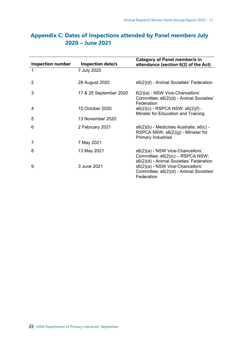| <b>Inspection number</b> | <b>Inspection date/s</b> | Category of Panel member/s in<br>attendance (section 6(2) of the Act)                                           |
|--------------------------|--------------------------|-----------------------------------------------------------------------------------------------------------------|
| 1                        | 7 July 2020              |                                                                                                                 |
| 2                        | 28 August 2020           | s6(2)(d) - Animal Societies' Federation                                                                         |
| 3                        | 17 & 25 September 2020   | 6(2)(a) - NSW Vice-Chancellors'<br>Committee; $s6(2)(d)$ - Animal Societies'<br>Federation                      |
| 4                        | 15 October 2020          | $s6(2)(c)$ - RSPCA NSW; $s6(2)(f)$ -<br>Minster for Education and Training                                      |
| 5                        | 13 November 2020         |                                                                                                                 |
| 6                        | 2 February 2021          | s6(2)(b) - Medicines Australia; s6(c) -<br>RSPCA NSW; s6(2)(g) - Minister for<br><b>Primary Industries</b>      |
| 7                        | 7 May 2021               |                                                                                                                 |
| 8                        | 13 May 2021              | s6(2)(a) - NSW Vice-Chancellors'<br>Committee; s6(2)(c) – RSPCA NSW;<br>s6(2)(d) - Animal Societies' Federation |
| 9                        | 3 June 2021              | s6(2)(a) - NSW Vice-Chancellors'<br>Committee; s6(2)(d) - Animal Societies'<br>Federation                       |

# <span id="page-22-0"></span>**Appendix C: Dates of Inspections attended by Panel members July 2020 – June 2021**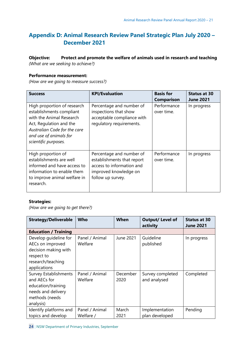# **Appendix D: Animal Research Review Panel Strategic Plan July 2020 – December 2021**

**Objective: Protect and promote the welfare of animals used in research and teaching** *(What are we seeking to achieve?)*

## **Performance measurement:**

*(How are we going to measure success?)*

| <b>Success</b>                                                                                                                                                                                   | <b>KPI/Evaluation</b>                                                                                                             | <b>Basis for</b><br><b>Comparison</b> | <b>Status at 30</b><br><b>June 2021</b> |
|--------------------------------------------------------------------------------------------------------------------------------------------------------------------------------------------------|-----------------------------------------------------------------------------------------------------------------------------------|---------------------------------------|-----------------------------------------|
| High proportion of research<br>establishments compliant<br>with the Animal Research<br>Act, Regulation and the<br>Australian Code for the care<br>and use of animals for<br>scientific purposes. | Percentage and number of<br>inspections that show<br>acceptable compliance with<br>regulatory requirements.                       | Performance<br>over time.             | In progress                             |
| High proportion of<br>establishments are well<br>informed and have access to<br>information to enable them<br>to improve animal welfare in<br>research.                                          | Percentage and number of<br>establishments that report<br>access to information and<br>improved knowledge on<br>follow up survey. | Performance<br>over time.             | In progress                             |

## **Strategies:**

*(How are we going to get there?)*

| <b>Strategy/Deliverable</b>  | <b>Who</b>     | When      | <b>Output/ Level of</b><br>activity | <b>Status at 30</b><br><b>June 2021</b> |
|------------------------------|----------------|-----------|-------------------------------------|-----------------------------------------|
| <b>Education / Training</b>  |                |           |                                     |                                         |
| Develop guideline for        | Panel / Animal | June 2021 | Guideline                           | In progress                             |
| AECs on improved             | Welfare        |           | published                           |                                         |
| decision making with         |                |           |                                     |                                         |
| respect to                   |                |           |                                     |                                         |
| research/teaching            |                |           |                                     |                                         |
| applications                 |                |           |                                     |                                         |
| <b>Survey Establishments</b> | Panel / Animal | December  | Survey completed                    | Completed                               |
| and AECs for                 | Welfare        | 2020      | and analysed                        |                                         |
| education/training           |                |           |                                     |                                         |
| needs and delivery           |                |           |                                     |                                         |
| methods (needs               |                |           |                                     |                                         |
| analysis)                    |                |           |                                     |                                         |
| Identify platforms and       | Panel / Animal | March     | Implementation                      | Pending                                 |
| topics and develop           | Welfare /      | 2021      | plan developed                      |                                         |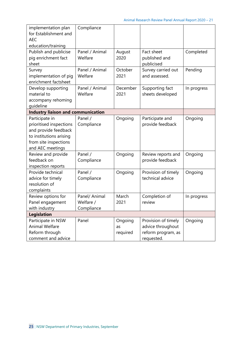| implementation plan<br>for Establishment and<br><b>AEC</b><br>education/training                                                          | Compliance                               |                           |                                                                              |             |
|-------------------------------------------------------------------------------------------------------------------------------------------|------------------------------------------|---------------------------|------------------------------------------------------------------------------|-------------|
| Publish and publicise<br>pig enrichment fact<br>sheet                                                                                     | Panel / Animal<br>Welfare                | August<br>2020            | Fact sheet<br>published and<br>publicised                                    | Completed   |
| Survey<br>implementation of pig<br>enrichment factsheet                                                                                   | Panel / Animal<br>Welfare                | October<br>2021           | Survey carried out<br>and assessed.                                          | Pending     |
| Develop supporting<br>material to<br>accompany rehoming<br>quideline                                                                      | Panel / Animal<br>Welfare                | December<br>2021          | Supporting fact<br>sheets developed                                          | In progress |
| <b>Industry liaison and communication</b>                                                                                                 |                                          |                           |                                                                              |             |
| Participate in<br>prioritised inspections<br>and provide feedback<br>to institutions arising<br>from site inspections<br>and AEC meetings | Panel /<br>Compliance                    | Ongoing                   | Participate and<br>provide feedback                                          | Ongoing     |
| Review and provide<br>feedback on<br>inspection reports                                                                                   | Panel /<br>Compliance                    | Ongoing                   | Review reports and<br>provide feedback                                       | Ongoing     |
| Provide technical<br>advice for timely<br>resolution of<br>complaints                                                                     | Panel /<br>Compliance                    | Ongoing                   | Provision of timely<br>technical advice                                      | Ongoing     |
| Review options for<br>Panel engagement<br>with industry                                                                                   | Panel/ Animal<br>Welfare /<br>Compliance | March<br>2021             | Completion of<br>review                                                      | In progress |
| <b>Legislation</b>                                                                                                                        |                                          |                           |                                                                              |             |
| Participate in NSW<br><b>Animal Welfare</b><br>Reform through<br>comment and advice                                                       | Panel                                    | Ongoing<br>as<br>required | Provision of timely<br>advice throughout<br>reform program, as<br>requested. | Ongoing     |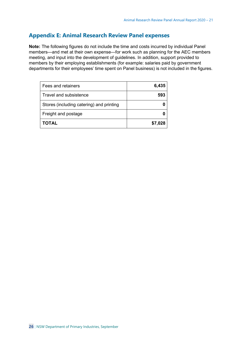## <span id="page-25-0"></span>**Appendix E: Animal Research Review Panel expenses**

**Note:** The following figures do not include the time and costs incurred by individual Panel members—and met at their own expense—for work such as planning for the AEC members meeting, and input into the development of guidelines. In addition, support provided to members by their employing establishments (for example: salaries paid by government departments for their employees' time spent on Panel business) is not included in the figures.

| Fees and retainers                       | 6,435   |
|------------------------------------------|---------|
| Travel and subsistence                   | 593     |
| Stores (including catering) and printing |         |
| Freight and postage                      |         |
| <b>TOTAL</b>                             | \$7,028 |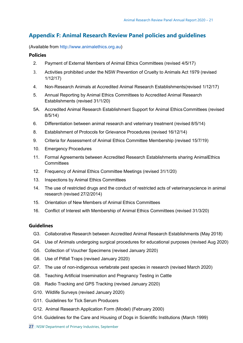## <span id="page-26-0"></span>**Appendix F: Animal Research Review Panel policies and guidelines**

(Available from [http://www.animalethics.org.au\)](http://www.animalethics.org.au/)

#### **Policies**

- 2. Payment of External Members of Animal Ethics Committees (revised 4/5/17)
- 3. Activities prohibited under the NSW Prevention of Cruelty to Animals Act 1979 (revised 1/12/17)
- 4. Non-Research Animals at Accredited Animal Research Establishments(revised 1/12/17)
- 5. Annual Reporting by Animal Ethics Committees to Accredited Animal Research Establishments (revised 31/1/20)
- 5A. Accredited Animal Research Establishment Support for Animal Ethics Committees (revised 8/5/14)
- 6. Differentiation between animal research and veterinary treatment (revised 8/5/14)
- 8. Establishment of Protocols for Grievance Procedures (revised 16/12/14)
- 9. Criteria for Assessment of Animal Ethics Committee Membership (revised 15/7/19)
- 10. Emergency Procedures
- 11. Formal Agreements between Accredited Research Establishments sharing AnimalEthics **Committees**
- 12. Frequency of Animal Ethics Committee Meetings (revised 31/1/20)
- 13. Inspections by Animal Ethics Committees
- 14. The use of restricted drugs and the conduct of restricted acts of veterinaryscience in animal research (revised 27/2/2014)
- 15. Orientation of New Members of Animal Ethics Committees
- 16. Conflict of Interest with Membership of Animal Ethics Committees (revised 31/3/20)

#### **Guidelines**

- G3. Collaborative Research between Accredited Animal Research Establishments (May 2018)
- G4. Use of Animals undergoing surgical procedures for educational purposes (revised Aug 2020)
- G5. Collection of Voucher Specimens (revised January 2020)
- G6. Use of Pitfall Traps (revised January 2020)
- G7. The use of non-indigenous vertebrate pest species in research (revised March 2020)
- G8. Teaching Artificial Insemination and Pregnancy Testing in Cattle
- G9. Radio Tracking and GPS Tracking (revised January 2020)
- G10. Wildlife Surveys (revised January 2020)
- G11. Guidelines for Tick Serum Producers
- G12. Animal Research Application Form (Model) (February 2000)
- G14. Guidelines for the Care and Housing of Dogs in Scientific Institutions (March 1999)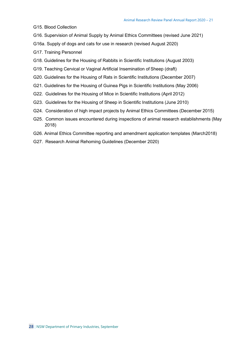- G15. Blood Collection
- G16. Supervision of Animal Supply by Animal Ethics Committees (revised June 2021)
- G16a. Supply of dogs and cats for use in research (revised August 2020)
- G17. Training Personnel
- G18. Guidelines for the Housing of Rabbits in Scientific Institutions (August 2003)
- G19. Teaching Cervical or Vaginal Artificial Insemination of Sheep (draft)
- G20. Guidelines for the Housing of Rats in Scientific Institutions (December 2007)
- G21. Guidelines for the Housing of Guinea Pigs in Scientific Institutions (May 2006)
- G22. Guidelines for the Housing of Mice in Scientific Institutions (April 2012)
- G23. Guidelines for the Housing of Sheep in Scientific Institutions (June 2010)
- G24. Consideration of high impact projects by Animal Ethics Committees (December 2015)
- G25. Common issues encountered during inspections of animal research establishments (May 2018)
- G26. Animal Ethics Committee reporting and amendment application templates (March2018)
- G27. Research Animal Rehoming Guidelines (December 2020)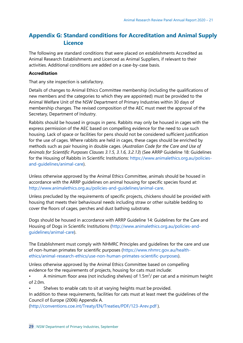# <span id="page-28-0"></span>**Appendix G: Standard conditions for Accreditation and Animal Supply Licence**

The following are standard conditions that were placed on establishments Accredited as Animal Research Establishments and Licenced as Animal Suppliers, if relevant to their activities. Additional conditions are added on a case-by-case basis.

## **Accreditation**

That any site inspection is satisfactory.

Details of changes to Animal Ethics Committee membership (including the qualifications of new members and the categories to which they are appointed) must be provided to the Animal Welfare Unit of the NSW Department of Primary Industries within 30 days of membership changes. The revised composition of the AEC must meet the approval of the Secretary, Department of Industry.

Rabbits should be housed in groups in pens. Rabbits may only be housed in cages with the express permission of the AEC based on compelling evidence for the need to use such housing. Lack of space or facilities for pens should not be considered sufficient justification for the use of cages. Where rabbits are held in cages, these cages should be enriched by methods such as pair housing in double cages. (*Australian Code for the Care and Use of Animals for Scientific Purposes Clauses 3.1.5, 3.1.6, 3.2.13*) (See ARRP Guideline 18: Guidelines for the Housing of Rabbits in Scientific Institutions: [https://www.animalethics.org.au/policies](https://www.animalethics.org.au/policies-and-guidelines/animal-care)and-guidelines/animal-care).

Unless otherwise approved by the Animal Ethics Committee, animals should be housed in accordance with the ARRP guidelines on animal housing for specific species found at: [http://www.animalethics.org.au/policies-and-guidelines/animal-care.](http://www.animalethics.org.au/policies-and-guidelines/animal-care)

Unless precluded by the requirements of specific projects, chickens should be provided with housing that meets their behavioural needs including straw or other suitable bedding to cover the floors of cages, perches and dust bathing substrate.

Dogs should be housed in accordance with ARRP Guideline 14: Guidelines for the Care and Housing of Dogs in Scientific Institutions [\(http://www.animalethics.org.au/policies-and](http://www.animalethics.org.au/policies-and-guidelines/animal-care)guidelines/animal-care).

The Establishment must comply with NHMRC Principles and guidelines for the care and use of non-human primates for scientific purposes [\(https://www.nhmrc.gov.au/health](https://www.nhmrc.gov.au/health-ethics/animal-research-ethics/use-non-human-primates-scientific-purposes)[ethics/animal-research-ethics/use-non-human-primates-scientific-purposes\)](https://www.nhmrc.gov.au/health-ethics/animal-research-ethics/use-non-human-primates-scientific-purposes).

Unless otherwise approved by the Animal Ethics Committee based on compelling evidence for the requirements of projects, housing for cats must include:

• A minimum floor area (not including shelves) of 1.5 $m^2$ / per cat and a minimum height of 2.0m.

Shelves to enable cats to sit at varying heights must be provided.

In addition to these requirements, facilities for cats must at least meet the guidelines of the Council of Europe (2006) Appendix A.

[\(http://conventions.coe.int/Treaty/EN/Treaties/PDF/123-Arev.pdf](http://conventions.coe.int/Treaty/EN/Treaties/PDF/123-Arev.pdf) ).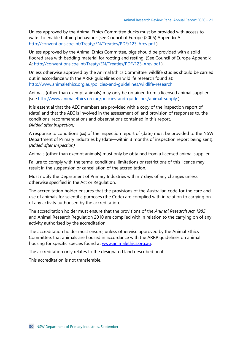Unless approved by the Animal Ethics Committee ducks must be provided with access to water to enable bathing behaviour (see Council of Europe (2006) Appendix A <http://conventions.coe.int/Treaty/EN/Treaties/PDF/123-Arev.pdf> ).

Unless approved by the Animal Ethics Committee, pigs should be provided with a solid floored area with bedding material for rooting and resting. (See Council of Europe Appendix A: <http://conventions.coe.int/Treaty/EN/Treaties/PDF/123-Arev.pdf> ).

Unless otherwise approved by the Animal Ethics Committee, wildlife studies should be carried out in accordance with the ARRP guidelines on wildlife research found at: <http://www.animalethics.org.au/policies-and-guidelines/wildlife-research> .

Animals (other than exempt animals) may only be obtained from a licensed animal supplier (see <http://www.animalethics.org.au/policies-and-guidelines/animal-supply> ).

It is essential that the AEC members are provided with a copy of the inspection report of {date} and that the AEC is involved in the assessment of, and provision of responses to, the conditions, recommendations and observations contained in this report. *(Added after inspection)*

A response to conditions {xx} of the inspection report of {date} must be provided to the NSW Department of Primary Industries by {date—within 3 months of inspection report being sent}. *(Added after inspection)*

Animals (other than exempt animals) must only be obtained from a licensed animal supplier.

Failure to comply with the terms, conditions, limitations or restrictions of this licence may result in the suspension or cancellation of the accreditation.

Must notify the Department of Primary Industries within 7 days of any changes unless otherwise specified in the Act or Regulation.

The accreditation holder ensures that the provisions of the Australian code for the care and use of animals for scientific purposes (the Code) are complied with in relation to carrying on of any activity authorised by the accreditation.

The accreditation holder must ensure that the provisions of the *Animal Research Act 1985* and Animal Research Regulation 2010 are complied with in relation to the carrying on of any activity authorised by the accreditation.

The accreditation holder must ensure, unless otherwise approved by the Animal Ethics Committee, that animals are housed in accordance with the ARRP guidelines on animal housing for specific species found at [www.animalethics.org.au.](http://www.animalethics.org.au/)

The accreditation only relates to the designated land described on it.

This accreditation is not transferable.